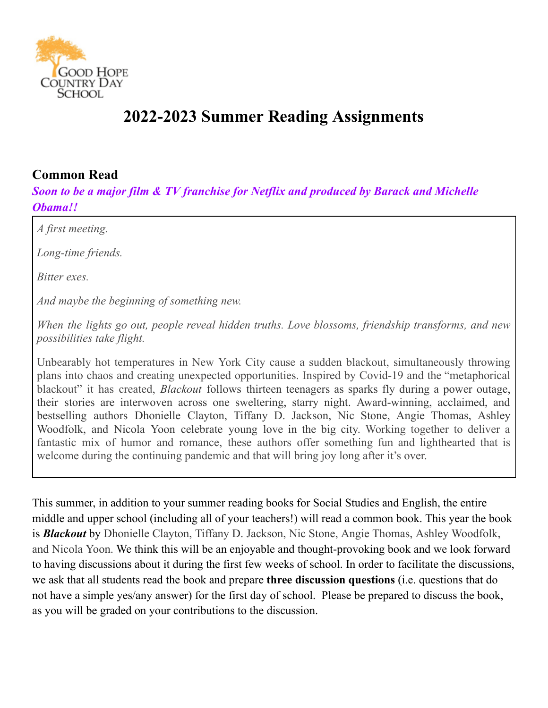

# **2022-2023 Summer Reading Assignments**

#### **Common Read**

*Soon to be a major film & TV franchise for Netflix and produced by Barack and Michelle Obama!!*

*A first meeting.*

*Long-time friends.*

*Bitter exes.*

*And maybe the beginning of something new.*

*When the lights go out, people reveal hidden truths. Love blossoms, friendship transforms, and new possibilities take flight.*

Unbearably hot temperatures in New York City cause a sudden blackout, simultaneously throwing plans into chaos and creating unexpected opportunities. Inspired by Covid-19 and the "metaphorical blackout" it has created, *Blackout* follows thirteen teenagers as sparks fly during a power outage, their stories are interwoven across one sweltering, starry night. Award-winning, acclaimed, and bestselling authors Dhonielle Clayton, Tiffany D. Jackson, Nic Stone, Angie Thomas, Ashley Woodfolk, and Nicola Yoon celebrate young love in the big city. Working together to deliver a fantastic mix of humor and romance, these authors offer something fun and lighthearted that is welcome during the continuing pandemic and that will bring joy long after it's over.

This summer, in addition to your summer reading books for Social Studies and English, the entire middle and upper school (including all of your teachers!) will read a common book. This year the book is *Blackout* by [Dhonielle](https://www.harpercollins.com/blogs/authors/dhonielle-clayton-41942) Clayton, Tiffany D. [Jackson](https://www.harpercollins.com/blogs/authors/tiffany-d-jackson-880000030136), Nic [Stone,](https://www.harpercollins.com/blogs/authors/nic-stone-48115) Angie [Thomas](https://www.harpercollins.com/blogs/authors/angie-thomas-2019573113467), Ashley [Woodfolk](https://www.harpercollins.com/blogs/authors/ashley-woodfolk-2022113475213), and [Nicola](https://www.harpercollins.com/blogs/authors/nicola-yoon-53382) Yoon. We think this will be an enjoyable and thought-provoking book and we look forward to having discussions about it during the first few weeks of school. In order to facilitate the discussions, we ask that all students read the book and prepare **three discussion questions** (i.e. questions that do not have a simple yes/any answer) for the first day of school. Please be prepared to discuss the book, as you will be graded on your contributions to the discussion.